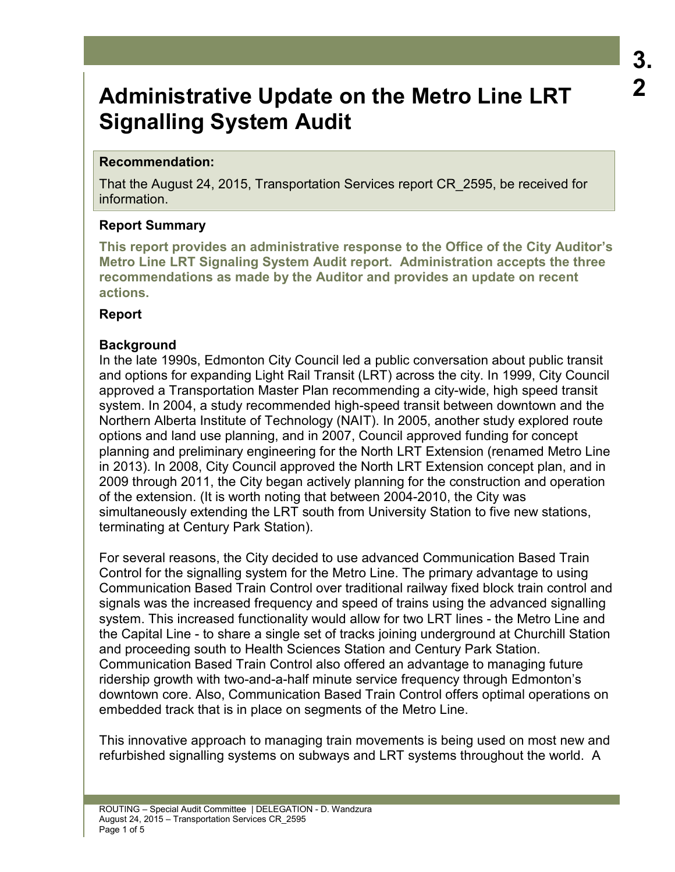## **Recommendation:**

That the August 24, 2015, Transportation Services report CR\_2595, be received for information.

# **Report Summary**

**This report provides an administrative response to the Office of the City Auditor's Metro Line LRT Signaling System Audit report. Administration accepts the three recommendations as made by the Auditor and provides an update on recent actions.** 

## **Report**

# **Background**

In the late 1990s, Edmonton City Council led a public conversation about public transit and options for expanding Light Rail Transit (LRT) across the city. In 1999, City Council approved a Transportation Master Plan recommending a city-wide, high speed transit system. In 2004, a study recommended high-speed transit between downtown and the Northern Alberta Institute of Technology (NAIT). In 2005, another study explored route options and land use planning, and in 2007, Council approved funding for concept planning and preliminary engineering for the North LRT Extension (renamed Metro Line in 2013). In 2008, City Council approved the North LRT Extension concept plan, and in 2009 through 2011, the City began actively planning for the construction and operation of the extension. (It is worth noting that between 2004-2010, the City was simultaneously extending the LRT south from University Station to five new stations, terminating at Century Park Station).

For several reasons, the City decided to use advanced Communication Based Train Control for the signalling system for the Metro Line. The primary advantage to using Communication Based Train Control over traditional railway fixed block train control and signals was the increased frequency and speed of trains using the advanced signalling system. This increased functionality would allow for two LRT lines - the Metro Line and the Capital Line - to share a single set of tracks joining underground at Churchill Station and proceeding south to Health Sciences Station and Century Park Station. Communication Based Train Control also offered an advantage to managing future ridership growth with two-and-a-half minute service frequency through Edmonton's downtown core. Also, Communication Based Train Control offers optimal operations on embedded track that is in place on segments of the Metro Line.

This innovative approach to managing train movements is being used on most new and refurbished signalling systems on subways and LRT systems throughout the world. A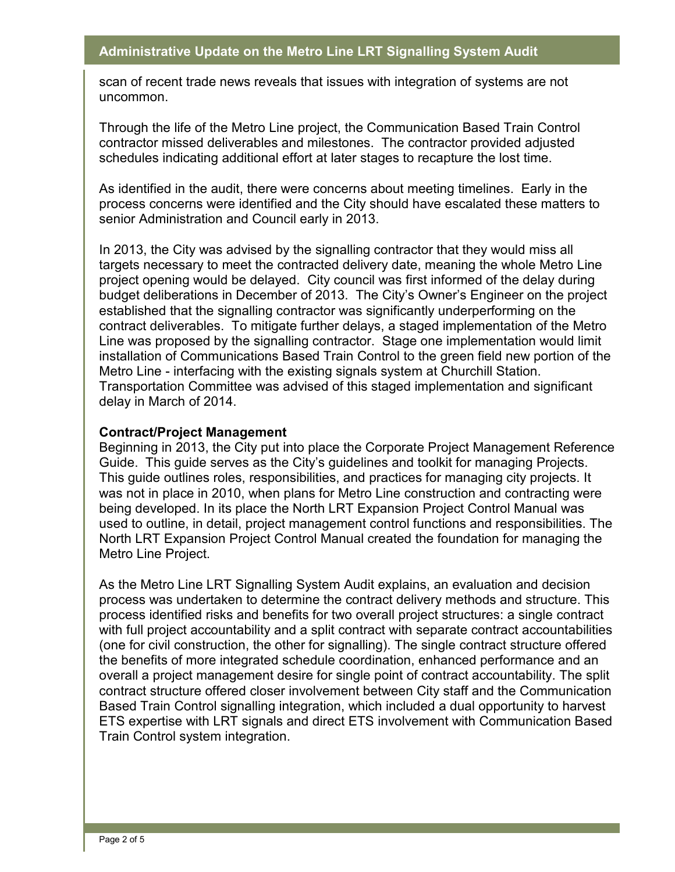scan of recent trade news reveals that issues with integration of systems are not uncommon.

Through the life of the Metro Line project, the Communication Based Train Control contractor missed deliverables and milestones. The contractor provided adjusted schedules indicating additional effort at later stages to recapture the lost time.

As identified in the audit, there were concerns about meeting timelines. Early in the process concerns were identified and the City should have escalated these matters to senior Administration and Council early in 2013.

In 2013, the City was advised by the signalling contractor that they would miss all targets necessary to meet the contracted delivery date, meaning the whole Metro Line project opening would be delayed. City council was first informed of the delay during budget deliberations in December of 2013. The City's Owner's Engineer on the project established that the signalling contractor was significantly underperforming on the contract deliverables. To mitigate further delays, a staged implementation of the Metro Line was proposed by the signalling contractor. Stage one implementation would limit installation of Communications Based Train Control to the green field new portion of the Metro Line - interfacing with the existing signals system at Churchill Station. Transportation Committee was advised of this staged implementation and significant delay in March of 2014.

#### **Contract/Project Management**

Beginning in 2013, the City put into place the Corporate Project Management Reference Guide. This guide serves as the City's guidelines and toolkit for managing Projects. This guide outlines roles, responsibilities, and practices for managing city projects. It was not in place in 2010, when plans for Metro Line construction and contracting were being developed. In its place the North LRT Expansion Project Control Manual was used to outline, in detail, project management control functions and responsibilities. The North LRT Expansion Project Control Manual created the foundation for managing the Metro Line Project.

As the Metro Line LRT Signalling System Audit explains, an evaluation and decision process was undertaken to determine the contract delivery methods and structure. This process identified risks and benefits for two overall project structures: a single contract with full project accountability and a split contract with separate contract accountabilities (one for civil construction, the other for signalling). The single contract structure offered the benefits of more integrated schedule coordination, enhanced performance and an overall a project management desire for single point of contract accountability. The split contract structure offered closer involvement between City staff and the Communication Based Train Control signalling integration, which included a dual opportunity to harvest ETS expertise with LRT signals and direct ETS involvement with Communication Based Train Control system integration.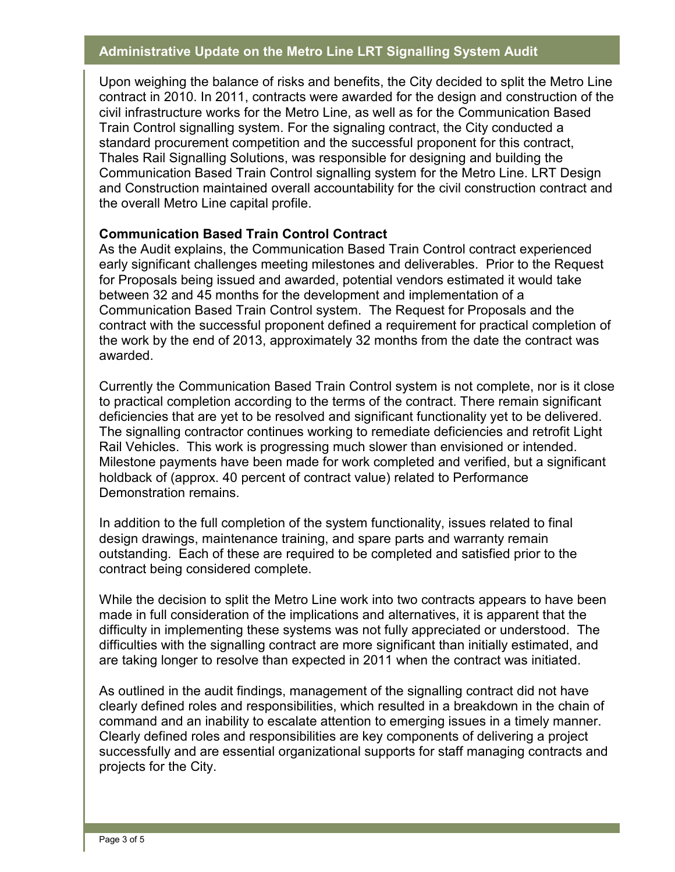Upon weighing the balance of risks and benefits, the City decided to split the Metro Line contract in 2010. In 2011, contracts were awarded for the design and construction of the civil infrastructure works for the Metro Line, as well as for the Communication Based Train Control signalling system. For the signaling contract, the City conducted a standard procurement competition and the successful proponent for this contract, Thales Rail Signalling Solutions, was responsible for designing and building the Communication Based Train Control signalling system for the Metro Line. LRT Design and Construction maintained overall accountability for the civil construction contract and the overall Metro Line capital profile.

## **Communication Based Train Control Contract**

As the Audit explains, the Communication Based Train Control contract experienced early significant challenges meeting milestones and deliverables. Prior to the Request for Proposals being issued and awarded, potential vendors estimated it would take between 32 and 45 months for the development and implementation of a Communication Based Train Control system. The Request for Proposals and the contract with the successful proponent defined a requirement for practical completion of the work by the end of 2013, approximately 32 months from the date the contract was awarded.

Currently the Communication Based Train Control system is not complete, nor is it close to practical completion according to the terms of the contract. There remain significant deficiencies that are yet to be resolved and significant functionality yet to be delivered. The signalling contractor continues working to remediate deficiencies and retrofit Light Rail Vehicles. This work is progressing much slower than envisioned or intended. Milestone payments have been made for work completed and verified, but a significant holdback of (approx. 40 percent of contract value) related to Performance Demonstration remains.

In addition to the full completion of the system functionality, issues related to final design drawings, maintenance training, and spare parts and warranty remain outstanding. Each of these are required to be completed and satisfied prior to the contract being considered complete.

While the decision to split the Metro Line work into two contracts appears to have been made in full consideration of the implications and alternatives, it is apparent that the difficulty in implementing these systems was not fully appreciated or understood. The difficulties with the signalling contract are more significant than initially estimated, and are taking longer to resolve than expected in 2011 when the contract was initiated.

As outlined in the audit findings, management of the signalling contract did not have clearly defined roles and responsibilities, which resulted in a breakdown in the chain of command and an inability to escalate attention to emerging issues in a timely manner. Clearly defined roles and responsibilities are key components of delivering a project successfully and are essential organizational supports for staff managing contracts and projects for the City.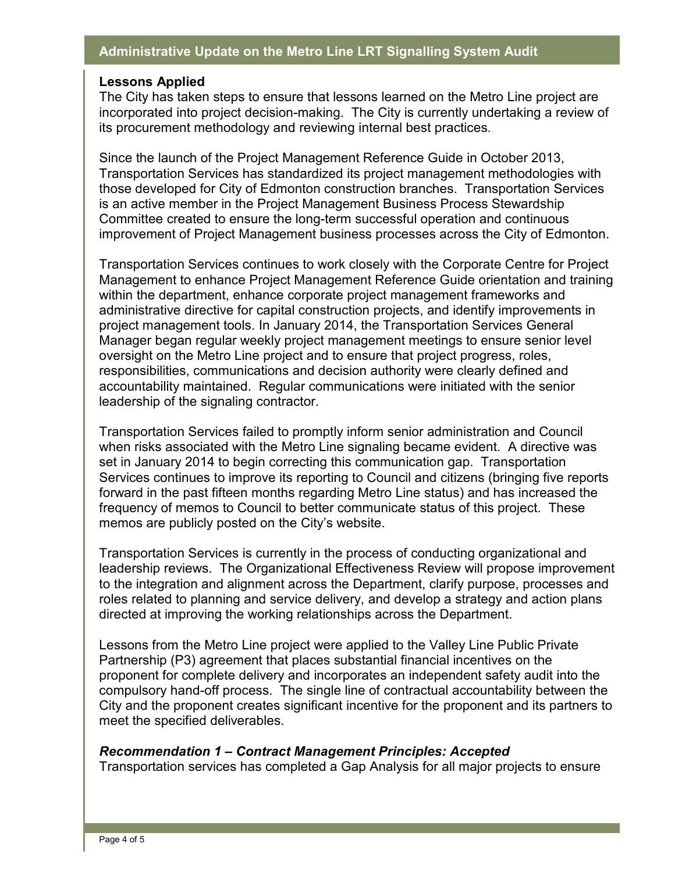#### **Lessons Applied**

The City has taken steps to ensure that lessons learned on the Metro Line project are incorporated into project decision-making. The City is currently undertaking a review of its procurement methodology and reviewing internal best practices.

Since the launch of the Project Management Reference Guide in October 2013, Transportation Services has standardized its project management methodologies with those developed for City of Edmonton construction branches. Transportation Services is an active member in the Project Management Business Process Stewardship Committee created to ensure the long-term successful operation and continuous improvement of Project Management business processes across the City of Edmonton.

Transportation Services continues to work closely with the Corporate Centre for Project Management to enhance Project Management Reference Guide orientation and training within the department, enhance corporate project management frameworks and administrative directive for capital construction projects, and identify improvements in project management tools. In January 2014, the Transportation Services General Manager began regular weekly project management meetings to ensure senior level oversight on the Metro Line project and to ensure that project progress, roles, responsibilities, communications and decision authority were clearly defined and accountability maintained. Regular communications were initiated with the senior leadership of the signaling contractor.

Transportation Services failed to promptly inform senior administration and Council when risks associated with the Metro Line signaling became evident. A directive was set in January 2014 to begin correcting this communication gap. Transportation Services continues to improve its reporting to Council and citizens (bringing five reports forward in the past fifteen months regarding Metro Line status) and has increased the frequency of memos to Council to better communicate status of this project. These memos are publicly posted on the City's website.

Transportation Services is currently in the process of conducting organizational and leadership reviews. The Organizational Effectiveness Review will propose improvement to the integration and alignment across the Department, clarify purpose, processes and roles related to planning and service delivery, and develop a strategy and action plans directed at improving the working relationships across the Department.

Lessons from the Metro Line project were applied to the Valley Line Public Private Partnership (P3) agreement that places substantial financial incentives on the proponent for complete delivery and incorporates an independent safety audit into the compulsory hand-off process. The single line of contractual accountability between the City and the proponent creates significant incentive for the proponent and its partners to meet the specified deliverables.

#### *Recommendation 1 – Contract Management Principles: Accepted*

Transportation services has completed a Gap Analysis for all major projects to ensure